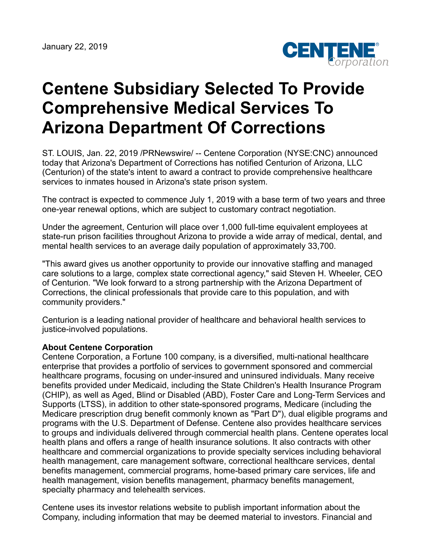

## **Centene Subsidiary Selected To Provide Comprehensive Medical Services To Arizona Department Of Corrections**

ST. LOUIS, Jan. 22, 2019 /PRNewswire/ -- Centene Corporation (NYSE:CNC) announced today that Arizona's Department of Corrections has notified Centurion of Arizona, LLC (Centurion) of the state's intent to award a contract to provide comprehensive healthcare services to inmates housed in Arizona's state prison system.

The contract is expected to commence July 1, 2019 with a base term of two years and three one-year renewal options, which are subject to customary contract negotiation.

Under the agreement, Centurion will place over 1,000 full-time equivalent employees at state-run prison facilities throughout Arizona to provide a wide array of medical, dental, and mental health services to an average daily population of approximately 33,700.

"This award gives us another opportunity to provide our innovative staffing and managed care solutions to a large, complex state correctional agency," said Steven H. Wheeler, CEO of Centurion. "We look forward to a strong partnership with the Arizona Department of Corrections, the clinical professionals that provide care to this population, and with community providers."

Centurion is a leading national provider of healthcare and behavioral health services to justice-involved populations.

## **About Centene Corporation**

Centene Corporation, a Fortune 100 company, is a diversified, multi-national healthcare enterprise that provides a portfolio of services to government sponsored and commercial healthcare programs, focusing on under-insured and uninsured individuals. Many receive benefits provided under Medicaid, including the State Children's Health Insurance Program (CHIP), as well as Aged, Blind or Disabled (ABD), Foster Care and Long-Term Services and Supports (LTSS), in addition to other state-sponsored programs, Medicare (including the Medicare prescription drug benefit commonly known as "Part D"), dual eligible programs and programs with the U.S. Department of Defense. Centene also provides healthcare services to groups and individuals delivered through commercial health plans. Centene operates local health plans and offers a range of health insurance solutions. It also contracts with other healthcare and commercial organizations to provide specialty services including behavioral health management, care management software, correctional healthcare services, dental benefits management, commercial programs, home-based primary care services, life and health management, vision benefits management, pharmacy benefits management, specialty pharmacy and telehealth services.

Centene uses its investor relations website to publish important information about the Company, including information that may be deemed material to investors. Financial and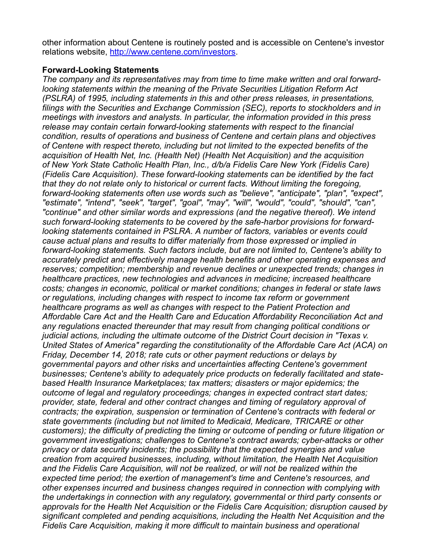other information about Centene is routinely posted and is accessible on Centene's investor relations website, <http://www.centene.com/investors>.

## **Forward-Looking Statements**

*The company and its representatives may from time to time make written and oral forwardlooking statements within the meaning of the Private Securities Litigation Reform Act (PSLRA) of 1995, including statements in this and other press releases, in presentations, filings with the Securities and Exchange Commission (SEC), reports to stockholders and in meetings with investors and analysts. In particular, the information provided in this press release may contain certain forward-looking statements with respect to the financial condition, results of operations and business of Centene and certain plans and objectives of Centene with respect thereto, including but not limited to the expected benefits of the acquisition of Health Net, Inc. (Health Net) (Health Net Acquisition) and the acquisition of New York State Catholic Health Plan, Inc., d/b/a Fidelis Care New York (Fidelis Care) (Fidelis Care Acquisition). These forward-looking statements can be identified by the fact that they do not relate only to historical or current facts. Without limiting the foregoing, forward-looking statements often use words such as "believe", "anticipate", "plan", "expect", "estimate", "intend", "seek", "target", "goal", "may", "will", "would", "could", "should", "can", "continue" and other similar words and expressions (and the negative thereof). We intend such forward-looking statements to be covered by the safe-harbor provisions for forwardlooking statements contained in PSLRA. A number of factors, variables or events could cause actual plans and results to differ materially from those expressed or implied in forward-looking statements. Such factors include, but are not limited to, Centene's ability to accurately predict and effectively manage health benefits and other operating expenses and reserves; competition; membership and revenue declines or unexpected trends; changes in healthcare practices, new technologies and advances in medicine; increased healthcare costs; changes in economic, political or market conditions; changes in federal or state laws or regulations, including changes with respect to income tax reform or government healthcare programs as well as changes with respect to the Patient Protection and Affordable Care Act and the Health Care and Education Affordability Reconciliation Act and any regulations enacted thereunder that may result from changing political conditions or judicial actions, including the ultimate outcome of the District Court decision in "Texas v. United States of America" regarding the constitutionality of the Affordable Care Act (ACA) on Friday, December 14, 2018; rate cuts or other payment reductions or delays by governmental payors and other risks and uncertainties affecting Centene's government businesses; Centene's ability to adequately price products on federally facilitated and statebased Health Insurance Marketplaces; tax matters; disasters or major epidemics; the outcome of legal and regulatory proceedings; changes in expected contract start dates; provider, state, federal and other contract changes and timing of regulatory approval of contracts; the expiration, suspension or termination of Centene's contracts with federal or state governments (including but not limited to Medicaid, Medicare, TRICARE or other customers); the difficulty of predicting the timing or outcome of pending or future litigation or government investigations; challenges to Centene's contract awards; cyber-attacks or other privacy or data security incidents; the possibility that the expected synergies and value creation from acquired businesses, including, without limitation, the Health Net Acquisition and the Fidelis Care Acquisition, will not be realized, or will not be realized within the expected time period; the exertion of management's time and Centene's resources, and other expenses incurred and business changes required in connection with complying with the undertakings in connection with any regulatory, governmental or third party consents or approvals for the Health Net Acquisition or the Fidelis Care Acquisition; disruption caused by significant completed and pending acquisitions, including the Health Net Acquisition and the Fidelis Care Acquisition, making it more difficult to maintain business and operational*